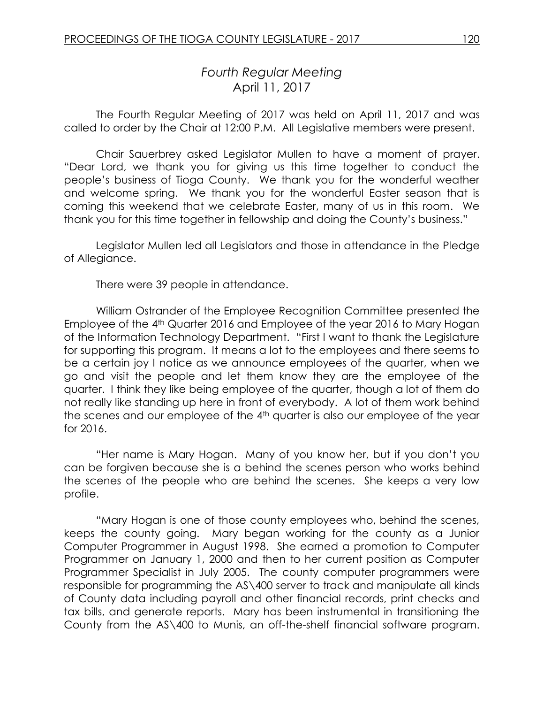# *Fourth Regular Meeting* April 11, 2017

The Fourth Regular Meeting of 2017 was held on April 11, 2017 and was called to order by the Chair at 12:00 P.M. All Legislative members were present.

Chair Sauerbrey asked Legislator Mullen to have a moment of prayer. "Dear Lord, we thank you for giving us this time together to conduct the people's business of Tioga County. We thank you for the wonderful weather and welcome spring. We thank you for the wonderful Easter season that is coming this weekend that we celebrate Easter, many of us in this room. We thank you for this time together in fellowship and doing the County's business."

Legislator Mullen led all Legislators and those in attendance in the Pledge of Allegiance.

There were 39 people in attendance.

William Ostrander of the Employee Recognition Committee presented the Employee of the 4<sup>th</sup> Quarter 2016 and Employee of the year 2016 to Mary Hogan of the Information Technology Department. "First I want to thank the Legislature for supporting this program. It means a lot to the employees and there seems to be a certain joy I notice as we announce employees of the quarter, when we go and visit the people and let them know they are the employee of the quarter. I think they like being employee of the quarter, though a lot of them do not really like standing up here in front of everybody. A lot of them work behind the scenes and our employee of the 4th quarter is also our employee of the year for 2016.

"Her name is Mary Hogan. Many of you know her, but if you don't you can be forgiven because she is a behind the scenes person who works behind the scenes of the people who are behind the scenes. She keeps a very low profile.

"Mary Hogan is one of those county employees who, behind the scenes, keeps the county going. Mary began working for the county as a Junior Computer Programmer in August 1998. She earned a promotion to Computer Programmer on January 1, 2000 and then to her current position as Computer Programmer Specialist in July 2005. The county computer programmers were responsible for programming the AS\400 server to track and manipulate all kinds of County data including payroll and other financial records, print checks and tax bills, and generate reports. Mary has been instrumental in transitioning the County from the AS\400 to Munis, an off-the-shelf financial software program.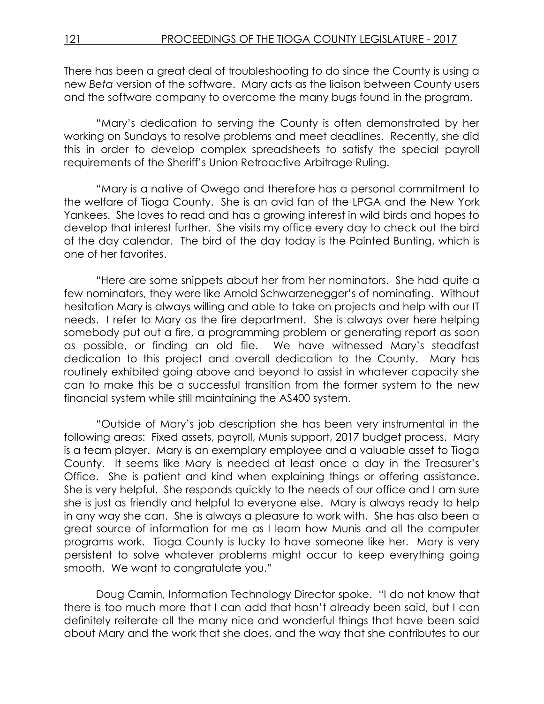There has been a great deal of troubleshooting to do since the County is using a new *Beta* version of the software. Mary acts as the liaison between County users and the software company to overcome the many bugs found in the program.

"Mary's dedication to serving the County is often demonstrated by her working on Sundays to resolve problems and meet deadlines. Recently, she did this in order to develop complex spreadsheets to satisfy the special payroll requirements of the Sheriff's Union Retroactive Arbitrage Ruling.

"Mary is a native of Owego and therefore has a personal commitment to the welfare of Tioga County. She is an avid fan of the LPGA and the New York Yankees. She loves to read and has a growing interest in wild birds and hopes to develop that interest further. She visits my office every day to check out the bird of the day calendar. The bird of the day today is the Painted Bunting, which is one of her favorites.

"Here are some snippets about her from her nominators. She had quite a few nominators, they were like Arnold Schwarzenegger's of nominating. Without hesitation Mary is always willing and able to take on projects and help with our IT needs. I refer to Mary as the fire department. She is always over here helping somebody put out a fire, a programming problem or generating report as soon as possible, or finding an old file. We have witnessed Mary's steadfast dedication to this project and overall dedication to the County. Mary has routinely exhibited going above and beyond to assist in whatever capacity she can to make this be a successful transition from the former system to the new financial system while still maintaining the AS400 system.

"Outside of Mary's job description she has been very instrumental in the following areas: Fixed assets, payroll, Munis support, 2017 budget process. Mary is a team player. Mary is an exemplary employee and a valuable asset to Tioga County. It seems like Mary is needed at least once a day in the Treasurer's Office. She is patient and kind when explaining things or offering assistance. She is very helpful. She responds quickly to the needs of our office and I am sure she is just as friendly and helpful to everyone else. Mary is always ready to help in any way she can. She is always a pleasure to work with. She has also been a great source of information for me as I learn how Munis and all the computer programs work. Tioga County is lucky to have someone like her. Mary is very persistent to solve whatever problems might occur to keep everything going smooth. We want to congratulate you."

Doug Camin, Information Technology Director spoke. "I do not know that there is too much more that I can add that hasn't already been said, but I can definitely reiterate all the many nice and wonderful things that have been said about Mary and the work that she does, and the way that she contributes to our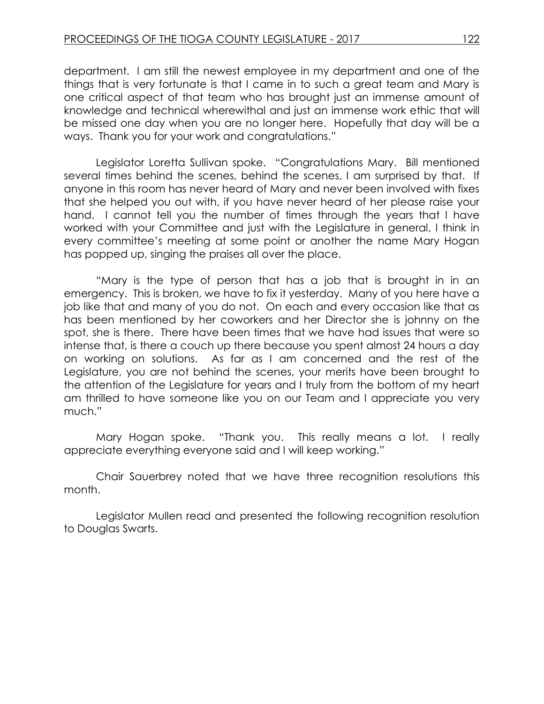department. I am still the newest employee in my department and one of the things that is very fortunate is that I came in to such a great team and Mary is one critical aspect of that team who has brought just an immense amount of knowledge and technical wherewithal and just an immense work ethic that will be missed one day when you are no longer here. Hopefully that day will be a ways. Thank you for your work and congratulations."

Legislator Loretta Sullivan spoke. "Congratulations Mary. Bill mentioned several times behind the scenes, behind the scenes, I am surprised by that. If anyone in this room has never heard of Mary and never been involved with fixes that she helped you out with, if you have never heard of her please raise your hand. I cannot tell you the number of times through the years that I have worked with your Committee and just with the Legislature in general, I think in every committee's meeting at some point or another the name Mary Hogan has popped up, singing the praises all over the place.

"Mary is the type of person that has a job that is brought in in an emergency. This is broken, we have to fix it yesterday. Many of you here have a job like that and many of you do not. On each and every occasion like that as has been mentioned by her coworkers and her Director she is johnny on the spot, she is there. There have been times that we have had issues that were so intense that, is there a couch up there because you spent almost 24 hours a day on working on solutions. As far as I am concerned and the rest of the Legislature, you are not behind the scenes, your merits have been brought to the attention of the Legislature for years and I truly from the bottom of my heart am thrilled to have someone like you on our Team and I appreciate you very much."

Mary Hogan spoke. "Thank you. This really means a lot. I really appreciate everything everyone said and I will keep working."

Chair Sauerbrey noted that we have three recognition resolutions this month.

Legislator Mullen read and presented the following recognition resolution to Douglas Swarts.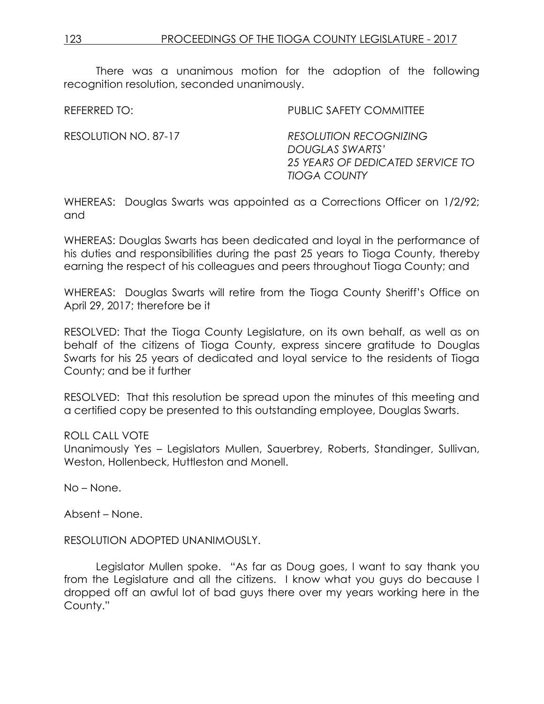There was a unanimous motion for the adoption of the following recognition resolution, seconded unanimously.

REFERRED TO: THE PUBLIC SAFETY COMMITTEE

RESOLUTION NO. 87-17 *RESOLUTION RECOGNIZING DOUGLAS SWARTS' 25 YEARS OF DEDICATED SERVICE TO TIOGA COUNTY*

WHEREAS: Douglas Swarts was appointed as a Corrections Officer on 1/2/92; and

WHEREAS: Douglas Swarts has been dedicated and loyal in the performance of his duties and responsibilities during the past 25 years to Tioga County, thereby earning the respect of his colleagues and peers throughout Tioga County; and

WHEREAS: Douglas Swarts will retire from the Tioga County Sheriff's Office on April 29, 2017; therefore be it

RESOLVED: That the Tioga County Legislature, on its own behalf, as well as on behalf of the citizens of Tioga County, express sincere gratitude to Douglas Swarts for his 25 years of dedicated and loyal service to the residents of Tioga County; and be it further

RESOLVED: That this resolution be spread upon the minutes of this meeting and a certified copy be presented to this outstanding employee, Douglas Swarts.

### ROLL CALL VOTE

Unanimously Yes – Legislators Mullen, Sauerbrey, Roberts, Standinger, Sullivan, Weston, Hollenbeck, Huttleston and Monell.

No – None.

Absent – None.

### RESOLUTION ADOPTED UNANIMOUSLY.

Legislator Mullen spoke. "As far as Doug goes, I want to say thank you from the Legislature and all the citizens. I know what you guys do because I dropped off an awful lot of bad guys there over my years working here in the County."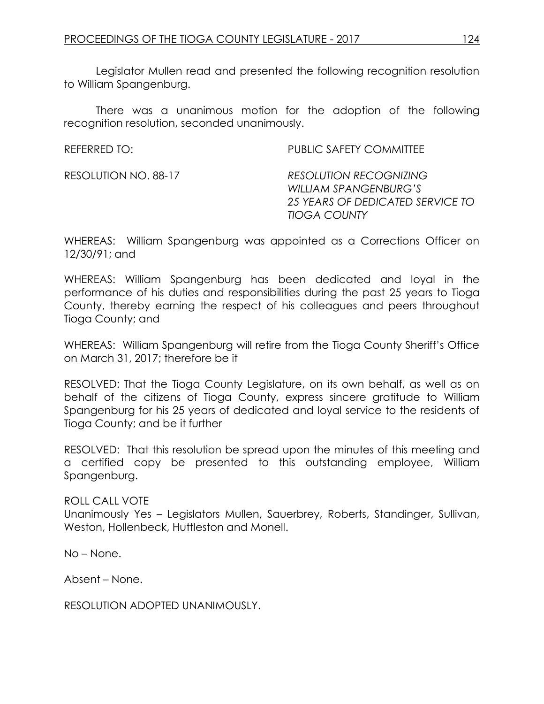Legislator Mullen read and presented the following recognition resolution to William Spangenburg.

There was a unanimous motion for the adoption of the following recognition resolution, seconded unanimously.

| REFERRED TO:         | PUBLIC SAFETY COMMITTEE                                                                                           |
|----------------------|-------------------------------------------------------------------------------------------------------------------|
| RESOLUTION NO. 88-17 | <b>RESOLUTION RECOGNIZING</b><br>WILLIAM SPANGENBURG'S<br>25 YEARS OF DEDICATED SERVICE TO<br><b>TIOGA COUNTY</b> |

WHEREAS: William Spangenburg was appointed as a Corrections Officer on 12/30/91; and

WHEREAS: William Spangenburg has been dedicated and loyal in the performance of his duties and responsibilities during the past 25 years to Tioga County, thereby earning the respect of his colleagues and peers throughout Tioga County; and

WHEREAS: William Spangenburg will retire from the Tioga County Sheriff's Office on March 31, 2017; therefore be it

RESOLVED: That the Tioga County Legislature, on its own behalf, as well as on behalf of the citizens of Tioga County, express sincere gratitude to William Spangenburg for his 25 years of dedicated and loyal service to the residents of Tioga County; and be it further

RESOLVED: That this resolution be spread upon the minutes of this meeting and a certified copy be presented to this outstanding employee, William Spangenburg.

# ROLL CALL VOTE

Unanimously Yes – Legislators Mullen, Sauerbrey, Roberts, Standinger, Sullivan, Weston, Hollenbeck, Huttleston and Monell.

No – None.

Absent – None.

RESOLUTION ADOPTED UNANIMOUSLY.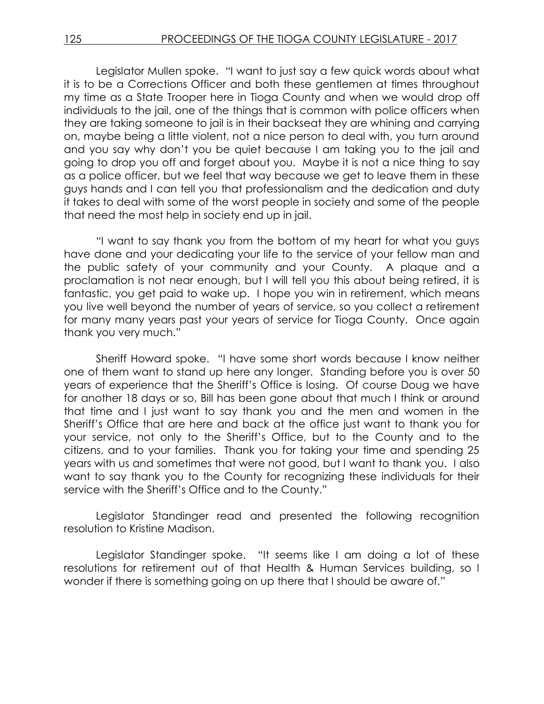Legislator Mullen spoke. "I want to just say a few quick words about what it is to be a Corrections Officer and both these gentlemen at times throughout my time as a State Trooper here in Tioga County and when we would drop off individuals to the jail, one of the things that is common with police officers when they are taking someone to jail is in their backseat they are whining and carrying on, maybe being a little violent, not a nice person to deal with, you turn around and you say why don't you be quiet because I am taking you to the jail and going to drop you off and forget about you. Maybe it is not a nice thing to say as a police officer, but we feel that way because we get to leave them in these guys hands and I can tell you that professionalism and the dedication and duty it takes to deal with some of the worst people in society and some of the people that need the most help in society end up in jail.

"I want to say thank you from the bottom of my heart for what you guys have done and your dedicating your life to the service of your fellow man and the public safety of your community and your County. A plaque and a proclamation is not near enough, but I will tell you this about being retired, it is fantastic, you get paid to wake up. I hope you win in retirement, which means you live well beyond the number of years of service, so you collect a retirement for many many years past your years of service for Tioga County. Once again thank you very much."

Sheriff Howard spoke. "I have some short words because I know neither one of them want to stand up here any longer. Standing before you is over 50 years of experience that the Sheriff's Office is losing. Of course Doug we have for another 18 days or so, Bill has been gone about that much I think or around that time and I just want to say thank you and the men and women in the Sheriff's Office that are here and back at the office just want to thank you for your service, not only to the Sheriff's Office, but to the County and to the citizens, and to your families. Thank you for taking your time and spending 25 years with us and sometimes that were not good, but I want to thank you. I also want to say thank you to the County for recognizing these individuals for their service with the Sheriff's Office and to the County."

Legislator Standinger read and presented the following recognition resolution to Kristine Madison.

Legislator Standinger spoke. "It seems like I am doing a lot of these resolutions for retirement out of that Health & Human Services building, so I wonder if there is something going on up there that I should be aware of."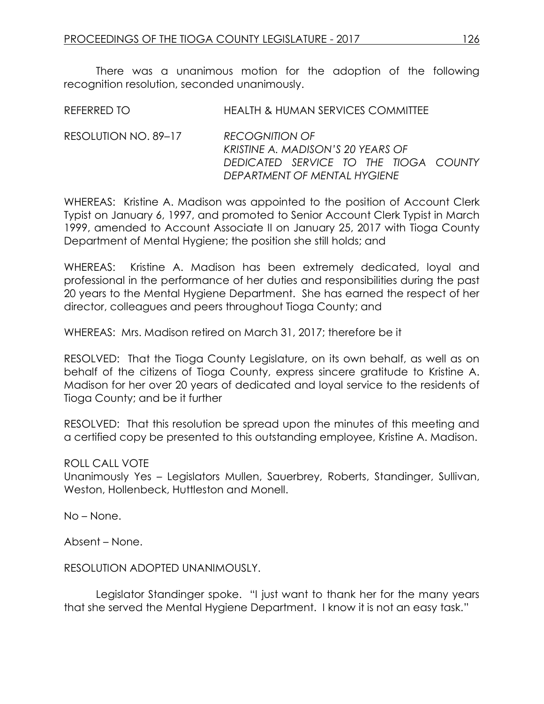There was a unanimous motion for the adoption of the following recognition resolution, seconded unanimously.

| REFERRED TO          | HEALTH & HUMAN SERVICES COMMITTEE                          |
|----------------------|------------------------------------------------------------|
| RESOLUTION NO. 89–17 | <b>RECOGNITION OF</b><br>KRISTINE A. MADISON'S 20 YEARS OF |

WHEREAS: Kristine A. Madison was appointed to the position of Account Clerk Typist on January 6, 1997, and promoted to Senior Account Clerk Typist in March 1999, amended to Account Associate II on January 25, 2017 with Tioga County Department of Mental Hygiene; the position she still holds; and

*DEDICATED SERVICE TO THE TIOGA COUNTY* 

*DEPARTMENT OF MENTAL HYGIENE*

WHEREAS: Kristine A. Madison has been extremely dedicated, loyal and professional in the performance of her duties and responsibilities during the past 20 years to the Mental Hygiene Department. She has earned the respect of her director, colleagues and peers throughout Tioga County; and

WHEREAS: Mrs. Madison retired on March 31, 2017; therefore be it

RESOLVED: That the Tioga County Legislature, on its own behalf, as well as on behalf of the citizens of Tioga County, express sincere gratitude to Kristine A. Madison for her over 20 years of dedicated and loyal service to the residents of Tioga County; and be it further

RESOLVED: That this resolution be spread upon the minutes of this meeting and a certified copy be presented to this outstanding employee, Kristine A. Madison.

# ROLL CALL VOTE

Unanimously Yes – Legislators Mullen, Sauerbrey, Roberts, Standinger, Sullivan, Weston, Hollenbeck, Huttleston and Monell.

No – None.

Absent – None.

### RESOLUTION ADOPTED UNANIMOUSLY.

Legislator Standinger spoke. "I just want to thank her for the many years that she served the Mental Hygiene Department. I know it is not an easy task."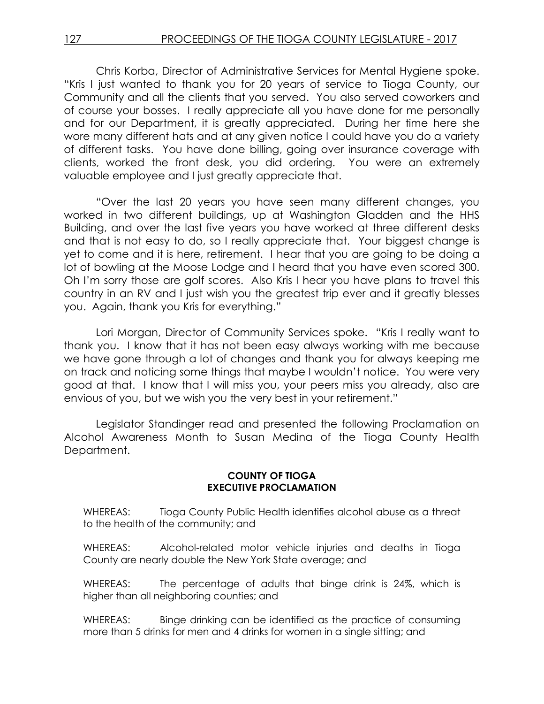Chris Korba, Director of Administrative Services for Mental Hygiene spoke. "Kris I just wanted to thank you for 20 years of service to Tioga County, our Community and all the clients that you served. You also served coworkers and of course your bosses. I really appreciate all you have done for me personally and for our Department, it is greatly appreciated. During her time here she wore many different hats and at any given notice I could have you do a variety of different tasks. You have done billing, going over insurance coverage with clients, worked the front desk, you did ordering. You were an extremely valuable employee and I just greatly appreciate that.

"Over the last 20 years you have seen many different changes, you worked in two different buildings, up at Washington Gladden and the HHS Building, and over the last five years you have worked at three different desks and that is not easy to do, so I really appreciate that. Your biggest change is yet to come and it is here, retirement. I hear that you are going to be doing a lot of bowling at the Moose Lodge and I heard that you have even scored 300. Oh I'm sorry those are golf scores. Also Kris I hear you have plans to travel this country in an RV and I just wish you the greatest trip ever and it greatly blesses you. Again, thank you Kris for everything."

Lori Morgan, Director of Community Services spoke. "Kris I really want to thank you. I know that it has not been easy always working with me because we have gone through a lot of changes and thank you for always keeping me on track and noticing some things that maybe I wouldn't notice. You were very good at that. I know that I will miss you, your peers miss you already, also are envious of you, but we wish you the very best in your retirement."

Legislator Standinger read and presented the following Proclamation on Alcohol Awareness Month to Susan Medina of the Tioga County Health Department.

### **COUNTY OF TIOGA EXECUTIVE PROCLAMATION**

WHEREAS: Tioga County Public Health identifies alcohol abuse as a threat to the health of the community; and

WHEREAS: Alcohol-related motor vehicle injuries and deaths in Tioga County are nearly double the New York State average; and

WHEREAS: The percentage of adults that binge drink is 24%, which is higher than all neighboring counties; and

WHEREAS: Binge drinking can be identified as the practice of consuming more than 5 drinks for men and 4 drinks for women in a single sitting; and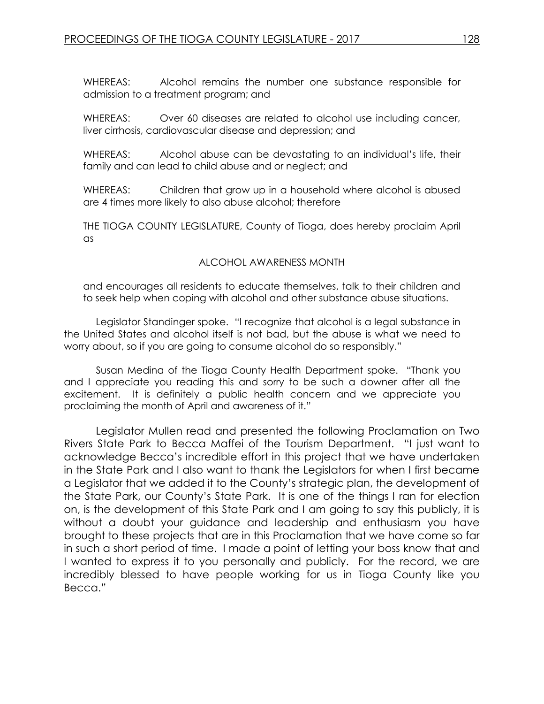WHEREAS: Alcohol remains the number one substance responsible for admission to a treatment program; and

WHEREAS: Over 60 diseases are related to alcohol use including cancer, liver cirrhosis, cardiovascular disease and depression; and

WHEREAS: Alcohol abuse can be devastating to an individual's life, their family and can lead to child abuse and or neglect; and

WHEREAS: Children that grow up in a household where alcohol is abused are 4 times more likely to also abuse alcohol; therefore

THE TIOGA COUNTY LEGISLATURE, County of Tioga, does hereby proclaim April as

### ALCOHOL AWARENESS MONTH

and encourages all residents to educate themselves, talk to their children and to seek help when coping with alcohol and other substance abuse situations.

Legislator Standinger spoke. "I recognize that alcohol is a legal substance in the United States and alcohol itself is not bad, but the abuse is what we need to worry about, so if you are going to consume alcohol do so responsibly."

Susan Medina of the Tioga County Health Department spoke. "Thank you and I appreciate you reading this and sorry to be such a downer after all the excitement. It is definitely a public health concern and we appreciate you proclaiming the month of April and awareness of it."

Legislator Mullen read and presented the following Proclamation on Two Rivers State Park to Becca Maffei of the Tourism Department. "I just want to acknowledge Becca's incredible effort in this project that we have undertaken in the State Park and I also want to thank the Legislators for when I first became a Legislator that we added it to the County's strategic plan, the development of the State Park, our County's State Park. It is one of the things I ran for election on, is the development of this State Park and I am going to say this publicly, it is without a doubt your guidance and leadership and enthusiasm you have brought to these projects that are in this Proclamation that we have come so far in such a short period of time. I made a point of letting your boss know that and I wanted to express it to you personally and publicly. For the record, we are incredibly blessed to have people working for us in Tioga County like you Becca."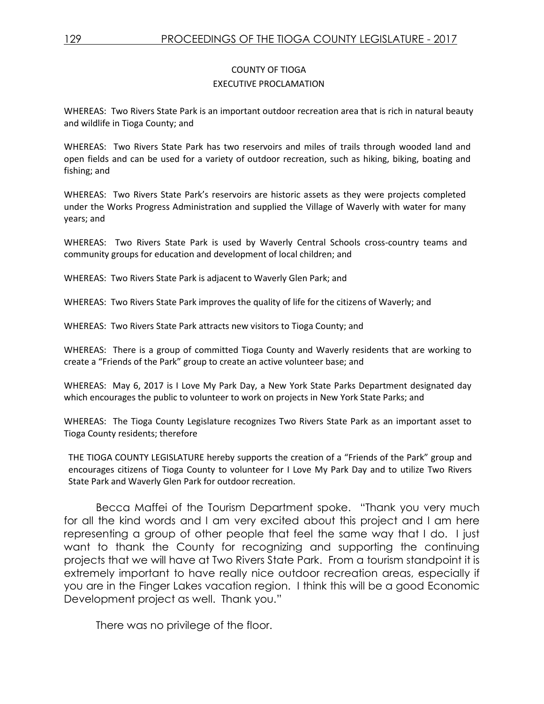### COUNTY OF TIOGA EXECUTIVE PROCLAMATION

WHEREAS: Two Rivers State Park is an important outdoor recreation area that is rich in natural beauty and wildlife in Tioga County; and

WHEREAS: Two Rivers State Park has two reservoirs and miles of trails through wooded land and open fields and can be used for a variety of outdoor recreation, such as hiking, biking, boating and fishing; and

WHEREAS: Two Rivers State Park's reservoirs are historic assets as they were projects completed under the Works Progress Administration and supplied the Village of Waverly with water for many years; and

WHEREAS: Two Rivers State Park is used by Waverly Central Schools cross-country teams and community groups for education and development of local children; and

WHEREAS: Two Rivers State Park is adjacent to Waverly Glen Park; and

WHEREAS: Two Rivers State Park improves the quality of life for the citizens of Waverly; and

WHEREAS: Two Rivers State Park attracts new visitors to Tioga County; and

WHEREAS: There is a group of committed Tioga County and Waverly residents that are working to create a "Friends of the Park" group to create an active volunteer base; and

WHEREAS: May 6, 2017 is I Love My Park Day, a New York State Parks Department designated day which encourages the public to volunteer to work on projects in New York State Parks; and

WHEREAS: The Tioga County Legislature recognizes Two Rivers State Park as an important asset to Tioga County residents; therefore

THE TIOGA COUNTY LEGISLATURE hereby supports the creation of a "Friends of the Park" group and encourages citizens of Tioga County to volunteer for I Love My Park Day and to utilize Two Rivers State Park and Waverly Glen Park for outdoor recreation.

Becca Maffei of the Tourism Department spoke. "Thank you very much for all the kind words and I am very excited about this project and I am here representing a group of other people that feel the same way that I do. I just want to thank the County for recognizing and supporting the continuing projects that we will have at Two Rivers State Park. From a tourism standpoint it is extremely important to have really nice outdoor recreation areas, especially if you are in the Finger Lakes vacation region. I think this will be a good Economic Development project as well. Thank you."

There was no privilege of the floor.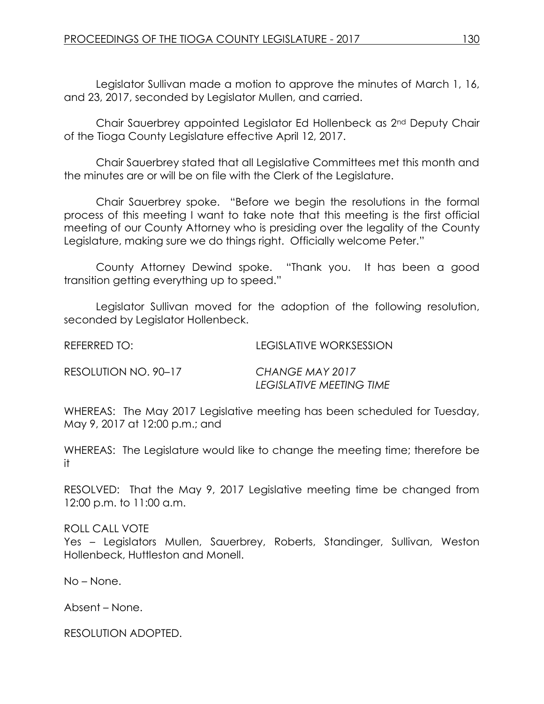Legislator Sullivan made a motion to approve the minutes of March 1, 16, and 23, 2017, seconded by Legislator Mullen, and carried.

Chair Sauerbrey appointed Legislator Ed Hollenbeck as 2nd Deputy Chair of the Tioga County Legislature effective April 12, 2017.

Chair Sauerbrey stated that all Legislative Committees met this month and the minutes are or will be on file with the Clerk of the Legislature.

Chair Sauerbrey spoke. "Before we begin the resolutions in the formal process of this meeting I want to take note that this meeting is the first official meeting of our County Attorney who is presiding over the legality of the County Legislature, making sure we do things right. Officially welcome Peter."

County Attorney Dewind spoke. "Thank you. It has been a good transition getting everything up to speed."

Legislator Sullivan moved for the adoption of the following resolution, seconded by Legislator Hollenbeck.

REFERRED TO: LEGISLATIVE WORKSESSION

RESOLUTION NO. 90–17 *CHANGE MAY 2017* 

*LEGISLATIVE MEETING TIME*

WHEREAS: The May 2017 Legislative meeting has been scheduled for Tuesday, May 9, 2017 at 12:00 p.m.; and

WHEREAS: The Legislature would like to change the meeting time; therefore be it

RESOLVED: That the May 9, 2017 Legislative meeting time be changed from 12:00 p.m. to 11:00 a.m.

ROLL CALL VOTE

Yes – Legislators Mullen, Sauerbrey, Roberts, Standinger, Sullivan, Weston Hollenbeck, Huttleston and Monell.

No – None.

Absent – None.

RESOLUTION ADOPTED.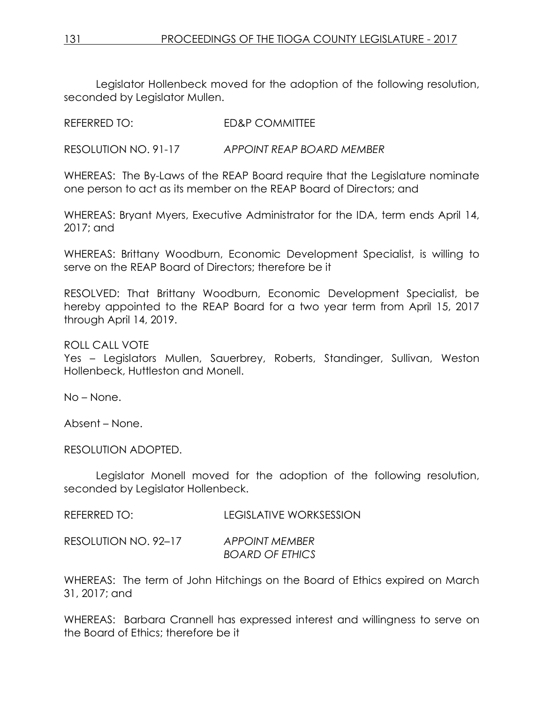Legislator Hollenbeck moved for the adoption of the following resolution, seconded by Legislator Mullen.

REFERRED TO: ED&P COMMITTEE

RESOLUTION NO. 91-17 *APPOINT REAP BOARD MEMBER*

WHEREAS: The By-Laws of the REAP Board require that the Legislature nominate one person to act as its member on the REAP Board of Directors; and

WHEREAS: Bryant Myers, Executive Administrator for the IDA, term ends April 14, 2017; and

WHEREAS: Brittany Woodburn, Economic Development Specialist, is willing to serve on the REAP Board of Directors; therefore be it

RESOLVED: That Brittany Woodburn, Economic Development Specialist, be hereby appointed to the REAP Board for a two year term from April 15, 2017 through April 14, 2019.

ROLL CALL VOTE

Yes – Legislators Mullen, Sauerbrey, Roberts, Standinger, Sullivan, Weston Hollenbeck, Huttleston and Monell.

No – None.

Absent – None.

RESOLUTION ADOPTED.

Legislator Monell moved for the adoption of the following resolution, seconded by Legislator Hollenbeck.

REFERRED TO: LEGISLATIVE WORKSESSION

RESOLUTION NO. 92–17 *APPOINT MEMBER BOARD OF ETHICS*

WHEREAS: The term of John Hitchings on the Board of Ethics expired on March 31, 2017; and

WHEREAS: Barbara Crannell has expressed interest and willingness to serve on the Board of Ethics; therefore be it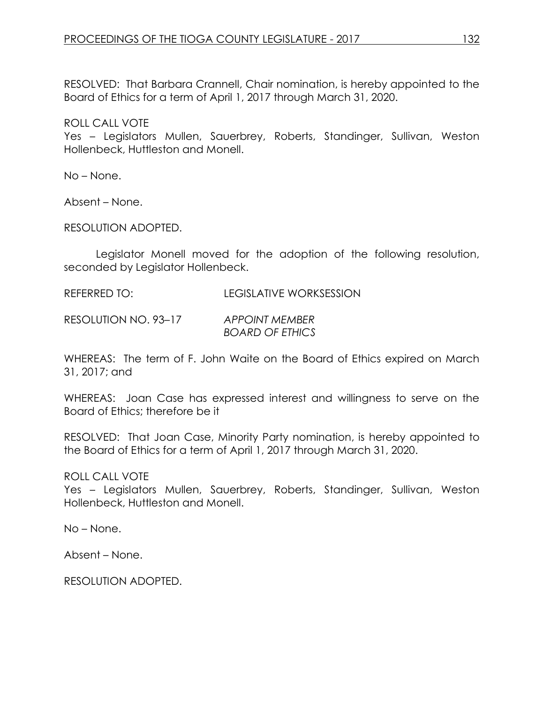RESOLVED: That Barbara Crannell, Chair nomination, is hereby appointed to the Board of Ethics for a term of April 1, 2017 through March 31, 2020.

ROLL CALL VOTE

Yes – Legislators Mullen, Sauerbrey, Roberts, Standinger, Sullivan, Weston Hollenbeck, Huttleston and Monell.

No – None.

Absent – None.

RESOLUTION ADOPTED.

Legislator Monell moved for the adoption of the following resolution, seconded by Legislator Hollenbeck.

REFERRED TO: LEGISLATIVE WORKSESSION

RESOLUTION NO. 93–17 *APPOINT MEMBER BOARD OF ETHICS*

WHEREAS: The term of F. John Waite on the Board of Ethics expired on March 31, 2017; and

WHEREAS: Joan Case has expressed interest and willingness to serve on the Board of Ethics; therefore be it

RESOLVED: That Joan Case, Minority Party nomination, is hereby appointed to the Board of Ethics for a term of April 1, 2017 through March 31, 2020.

# ROLL CALL VOTE

Yes – Legislators Mullen, Sauerbrey, Roberts, Standinger, Sullivan, Weston Hollenbeck, Huttleston and Monell.

No – None.

Absent – None.

RESOLUTION ADOPTED.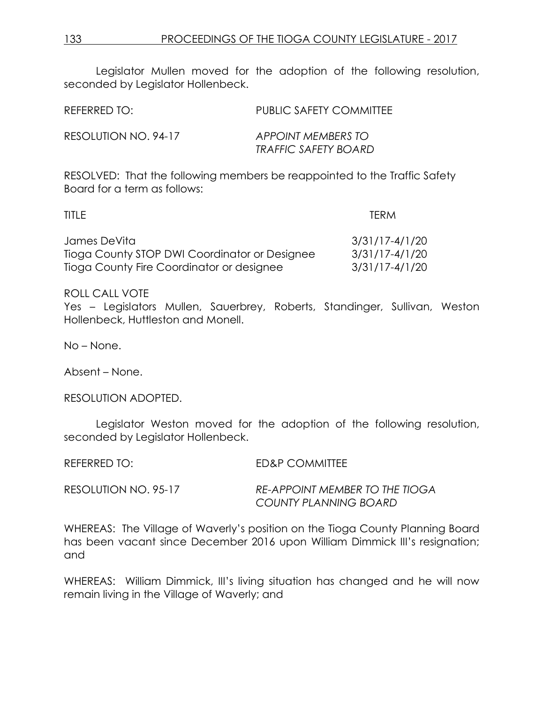Legislator Mullen moved for the adoption of the following resolution, seconded by Legislator Hollenbeck.

| REFERRED TO:         | PUBLIC SAFETY COMMITTEE                           |
|----------------------|---------------------------------------------------|
| RESOLUTION NO. 94-17 | APPOINT MEMBERS TO<br><b>TRAFFIC SAFETY BOARD</b> |

RESOLVED: That the following members be reappointed to the Traffic Safety Board for a term as follows:

| TITLE.                                        | <b>TERM</b>        |
|-----------------------------------------------|--------------------|
| James DeVita                                  | 3/31/17-4/1/20     |
| Tioga County STOP DWI Coordinator or Designee | $3/31/17 - 4/1/20$ |
| Tioga County Fire Coordinator or designee     | 3/31/17-4/1/20     |

ROLL CALL VOTE

Yes – Legislators Mullen, Sauerbrey, Roberts, Standinger, Sullivan, Weston Hollenbeck, Huttleston and Monell.

No – None.

Absent – None.

RESOLUTION ADOPTED.

Legislator Weston moved for the adoption of the following resolution, seconded by Legislator Hollenbeck.

REFERRED TO: ED&P COMMITTEE

RESOLUTION NO. 95-17 *RE-APPOINT MEMBER TO THE TIOGA COUNTY PLANNING BOARD*

WHEREAS: The Village of Waverly's position on the Tioga County Planning Board has been vacant since December 2016 upon William Dimmick III's resignation; and

WHEREAS: William Dimmick, III's living situation has changed and he will now remain living in the Village of Waverly; and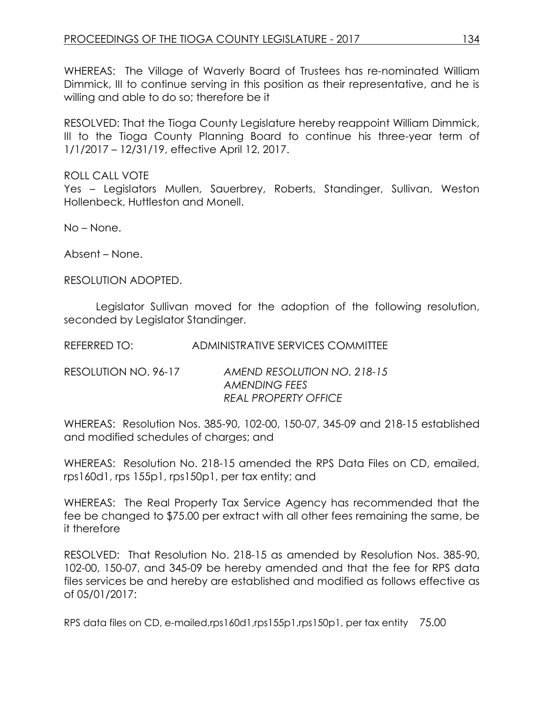WHEREAS: The Village of Waverly Board of Trustees has re-nominated William Dimmick, III to continue serving in this position as their representative, and he is willing and able to do so; therefore be it

RESOLVED: That the Tioga County Legislature hereby reappoint William Dimmick, III to the Tioga County Planning Board to continue his three-year term of 1/1/2017 – 12/31/19, effective April 12, 2017.

ROLL CALL VOTE Yes – Legislators Mullen, Sauerbrey, Roberts, Standinger, Sullivan, Weston Hollenbeck, Huttleston and Monell.

No – None.

Absent – None.

RESOLUTION ADOPTED.

Legislator Sullivan moved for the adoption of the following resolution, seconded by Legislator Standinger.

REFERRED TO: ADMINISTRATIVE SERVICES COMMITTEE

RESOLUTION NO. 96-17 *AMEND RESOLUTION NO. 218-15 AMENDING FEES REAL PROPERTY OFFICE*

WHEREAS: Resolution Nos. 385-90, 102-00, 150-07, 345-09 and 218-15 established and modified schedules of charges; and

WHEREAS: Resolution No. 218-15 amended the RPS Data Files on CD, emailed, rps160d1, rps 155p1, rps150p1, per tax entity; and

WHEREAS: The Real Property Tax Service Agency has recommended that the fee be changed to \$75.00 per extract with all other fees remaining the same, be it therefore

RESOLVED: That Resolution No. 218-15 as amended by Resolution Nos. 385-90, 102-00, 150-07, and 345-09 be hereby amended and that the fee for RPS data files services be and hereby are established and modified as follows effective as of 05/01/2017:

RPS data files on CD, e-mailed,rps160d1,rps155p1,rps150p1, per tax entity 75.00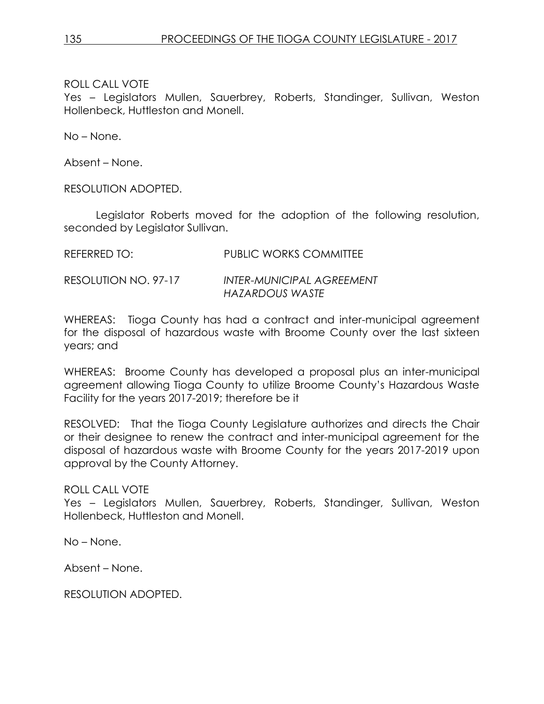# ROLL CALL VOTE

Yes – Legislators Mullen, Sauerbrey, Roberts, Standinger, Sullivan, Weston Hollenbeck, Huttleston and Monell.

No – None.

Absent – None.

RESOLUTION ADOPTED.

Legislator Roberts moved for the adoption of the following resolution, seconded by Legislator Sullivan.

## RESOLUTION NO. 97-17 *INTER-MUNICIPAL AGREEMENT HAZARDOUS WASTE*

WHEREAS: Tioga County has had a contract and inter-municipal agreement for the disposal of hazardous waste with Broome County over the last sixteen years; and

WHEREAS: Broome County has developed a proposal plus an inter-municipal agreement allowing Tioga County to utilize Broome County's Hazardous Waste Facility for the years 2017-2019; therefore be it

RESOLVED: That the Tioga County Legislature authorizes and directs the Chair or their designee to renew the contract and inter-municipal agreement for the disposal of hazardous waste with Broome County for the years 2017-2019 upon approval by the County Attorney.

# ROLL CALL VOTE

Yes – Legislators Mullen, Sauerbrey, Roberts, Standinger, Sullivan, Weston Hollenbeck, Huttleston and Monell.

No – None.

Absent – None.

RESOLUTION ADOPTED.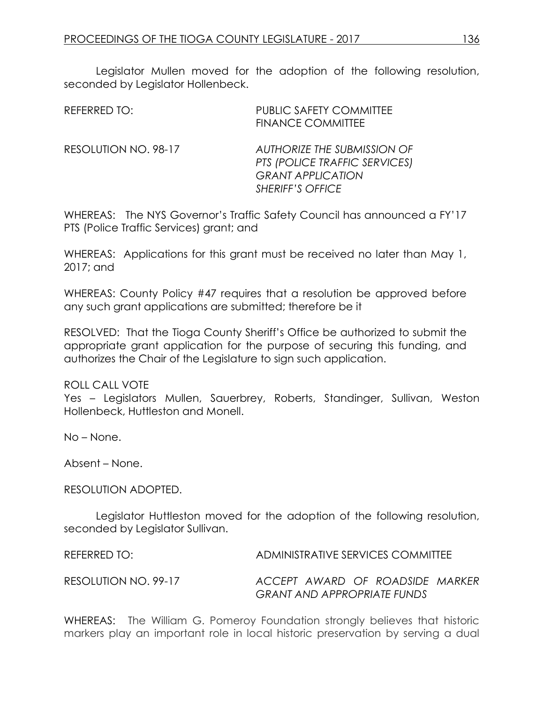Legislator Mullen moved for the adoption of the following resolution, seconded by Legislator Hollenbeck.

| REFERRED TO:         | <b>PUBLIC SAFETY COMMITTEE</b><br><b>FINANCE COMMITTEE</b>                                                                 |
|----------------------|----------------------------------------------------------------------------------------------------------------------------|
| RESOLUTION NO. 98-17 | <b>AUTHORIZE THE SUBMISSION OF</b><br>PTS (POLICE TRAFFIC SERVICES)<br><b>GRANT APPLICATION</b><br><b>SHERIFF'S OFFICE</b> |

WHEREAS: The NYS Governor's Traffic Safety Council has announced a FY'17 PTS (Police Traffic Services) grant; and

WHEREAS: Applications for this grant must be received no later than May 1, 2017; and

WHEREAS: County Policy #47 requires that a resolution be approved before any such grant applications are submitted; therefore be it

RESOLVED: That the Tioga County Sheriff's Office be authorized to submit the appropriate grant application for the purpose of securing this funding, and authorizes the Chair of the Legislature to sign such application.

ROLL CALL VOTE

Yes – Legislators Mullen, Sauerbrey, Roberts, Standinger, Sullivan, Weston Hollenbeck, Huttleston and Monell.

No – None.

Absent – None.

RESOLUTION ADOPTED.

Legislator Huttleston moved for the adoption of the following resolution, seconded by Legislator Sullivan.

| REFERRED TO:         | ADMINISTRATIVE SERVICES COMMITTEE                                     |
|----------------------|-----------------------------------------------------------------------|
| RESOLUTION NO. 99-17 | ACCEPT AWARD OF ROADSIDE MARKER<br><b>GRANT AND APPROPRIATE FUNDS</b> |

WHEREAS: The William G. Pomeroy Foundation strongly believes that historic markers play an important role in local historic preservation by serving a dual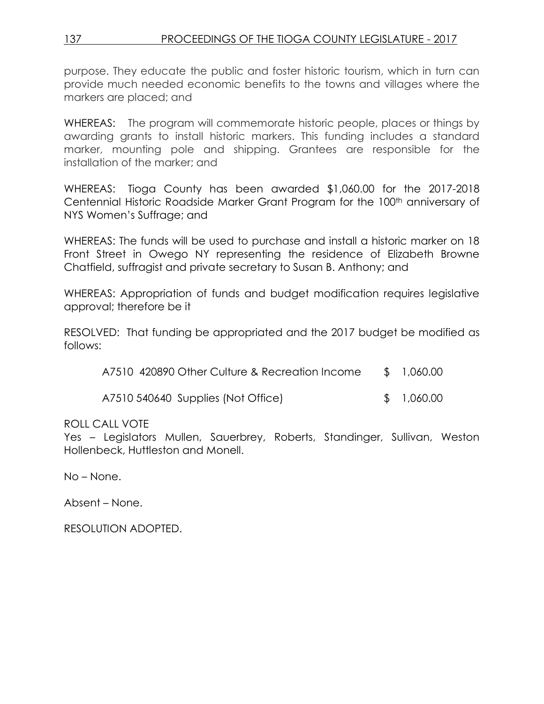purpose. They educate the public and foster historic tourism, which in turn can provide much needed economic benefits to the towns and villages where the markers are placed; and

WHEREAS: The program will commemorate historic people, places or things by awarding grants to install historic markers. This funding includes a standard marker, mounting pole and shipping. Grantees are responsible for the installation of the marker; and

WHEREAS: Tioga County has been awarded \$1,060.00 for the 2017-2018 Centennial Historic Roadside Marker Grant Program for the 100<sup>th</sup> anniversary of NYS Women's Suffrage; and

WHEREAS: The funds will be used to purchase and install a historic marker on 18 Front Street in Owego NY representing the residence of Elizabeth Browne Chatfield, suffragist and private secretary to Susan B. Anthony; and

WHEREAS: Appropriation of funds and budget modification requires legislative approval; therefore be it

RESOLVED: That funding be appropriated and the 2017 budget be modified as follows:

| A7510 420890 Other Culture & Recreation Income |  | \$1,060.00 |
|------------------------------------------------|--|------------|
|------------------------------------------------|--|------------|

A7510 540640 Supplies (Not Office) \$ 1,060.00

# ROLL CALL VOTE

Yes – Legislators Mullen, Sauerbrey, Roberts, Standinger, Sullivan, Weston Hollenbeck, Huttleston and Monell.

No – None.

Absent – None.

RESOLUTION ADOPTED.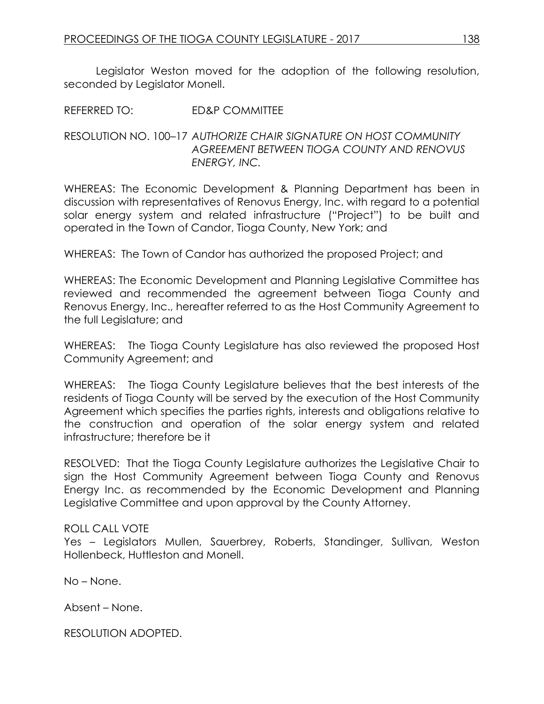Legislator Weston moved for the adoption of the following resolution, seconded by Legislator Monell.

REFERRED TO: ED&P COMMITTEE

# RESOLUTION NO. 100–17 *AUTHORIZE CHAIR SIGNATURE ON HOST COMMUNITY AGREEMENT BETWEEN TIOGA COUNTY AND RENOVUS ENERGY, INC.*

WHEREAS: The Economic Development & Planning Department has been in discussion with representatives of Renovus Energy, Inc. with regard to a potential solar energy system and related infrastructure ("Project") to be built and operated in the Town of Candor, Tioga County, New York; and

WHEREAS: The Town of Candor has authorized the proposed Project; and

WHEREAS: The Economic Development and Planning Legislative Committee has reviewed and recommended the agreement between Tioga County and Renovus Energy, Inc., hereafter referred to as the Host Community Agreement to the full Legislature; and

WHEREAS: The Tioga County Legislature has also reviewed the proposed Host Community Agreement; and

WHEREAS: The Tioga County Legislature believes that the best interests of the residents of Tioga County will be served by the execution of the Host Community Agreement which specifies the parties rights, interests and obligations relative to the construction and operation of the solar energy system and related infrastructure; therefore be it

RESOLVED: That the Tioga County Legislature authorizes the Legislative Chair to sign the Host Community Agreement between Tioga County and Renovus Energy Inc. as recommended by the Economic Development and Planning Legislative Committee and upon approval by the County Attorney.

# ROLL CALL VOTE

Yes – Legislators Mullen, Sauerbrey, Roberts, Standinger, Sullivan, Weston Hollenbeck, Huttleston and Monell.

No – None.

Absent – None.

RESOLUTION ADOPTED.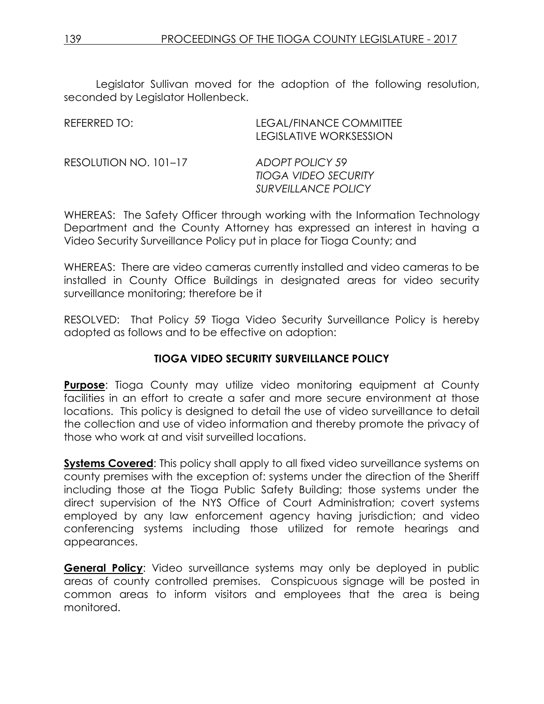Legislator Sullivan moved for the adoption of the following resolution, seconded by Legislator Hollenbeck.

| REFERRED TO:          | LEGAL/FINANCE COMMITTEE<br>LEGISLATIVE WORKSESSION                           |
|-----------------------|------------------------------------------------------------------------------|
| RESOLUTION NO. 101-17 | ADOPT POLICY 59<br><b>TIOGA VIDEO SECURITY</b><br><b>SURVEILLANCE POLICY</b> |

WHEREAS: The Safety Officer through working with the Information Technology Department and the County Attorney has expressed an interest in having a Video Security Surveillance Policy put in place for Tioga County; and

WHEREAS: There are video cameras currently installed and video cameras to be installed in County Office Buildings in designated areas for video security surveillance monitoring; therefore be it

RESOLVED: That Policy 59 Tioga Video Security Surveillance Policy is hereby adopted as follows and to be effective on adoption:

# **TIOGA VIDEO SECURITY SURVEILLANCE POLICY**

**Purpose**: Tioga County may utilize video monitoring equipment at County facilities in an effort to create a safer and more secure environment at those locations. This policy is designed to detail the use of video surveillance to detail the collection and use of video information and thereby promote the privacy of those who work at and visit surveilled locations.

**Systems Covered:** This policy shall apply to all fixed video surveillance systems on county premises with the exception of: systems under the direction of the Sheriff including those at the Tioga Public Safety Building; those systems under the direct supervision of the NYS Office of Court Administration; covert systems employed by any law enforcement agency having jurisdiction; and video conferencing systems including those utilized for remote hearings and appearances.

**General Policy:** Video surveillance systems may only be deployed in public areas of county controlled premises. Conspicuous signage will be posted in common areas to inform visitors and employees that the area is being monitored.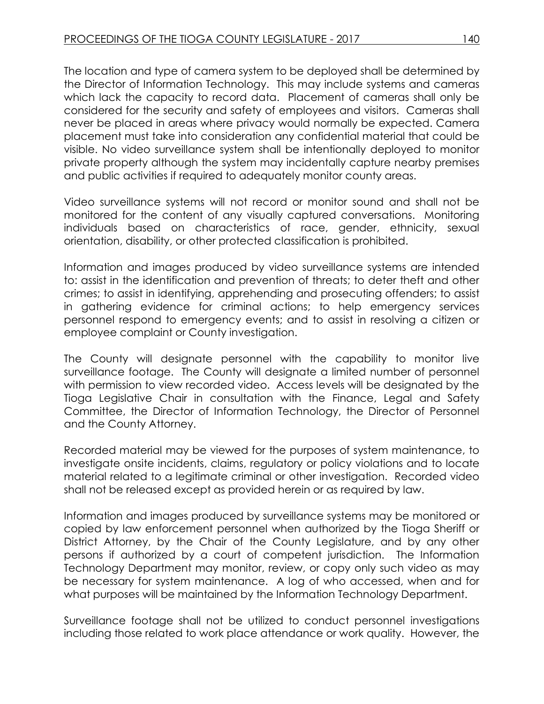The location and type of camera system to be deployed shall be determined by the Director of Information Technology. This may include systems and cameras which lack the capacity to record data. Placement of cameras shall only be considered for the security and safety of employees and visitors. Cameras shall never be placed in areas where privacy would normally be expected. Camera placement must take into consideration any confidential material that could be visible. No video surveillance system shall be intentionally deployed to monitor private property although the system may incidentally capture nearby premises and public activities if required to adequately monitor county areas.

Video surveillance systems will not record or monitor sound and shall not be monitored for the content of any visually captured conversations. Monitoring individuals based on characteristics of race, gender, ethnicity, sexual orientation, disability, or other protected classification is prohibited.

Information and images produced by video surveillance systems are intended to: assist in the identification and prevention of threats; to deter theft and other crimes; to assist in identifying, apprehending and prosecuting offenders; to assist in gathering evidence for criminal actions; to help emergency services personnel respond to emergency events; and to assist in resolving a citizen or employee complaint or County investigation.

The County will designate personnel with the capability to monitor live surveillance footage. The County will designate a limited number of personnel with permission to view recorded video. Access levels will be designated by the Tioga Legislative Chair in consultation with the Finance, Legal and Safety Committee, the Director of Information Technology, the Director of Personnel and the County Attorney.

Recorded material may be viewed for the purposes of system maintenance, to investigate onsite incidents, claims, regulatory or policy violations and to locate material related to a legitimate criminal or other investigation. Recorded video shall not be released except as provided herein or as required by law.

Information and images produced by surveillance systems may be monitored or copied by law enforcement personnel when authorized by the Tioga Sheriff or District Attorney, by the Chair of the County Legislature, and by any other persons if authorized by a court of competent jurisdiction. The Information Technology Department may monitor, review, or copy only such video as may be necessary for system maintenance. A log of who accessed, when and for what purposes will be maintained by the Information Technology Department.

Surveillance footage shall not be utilized to conduct personnel investigations including those related to work place attendance or work quality. However, the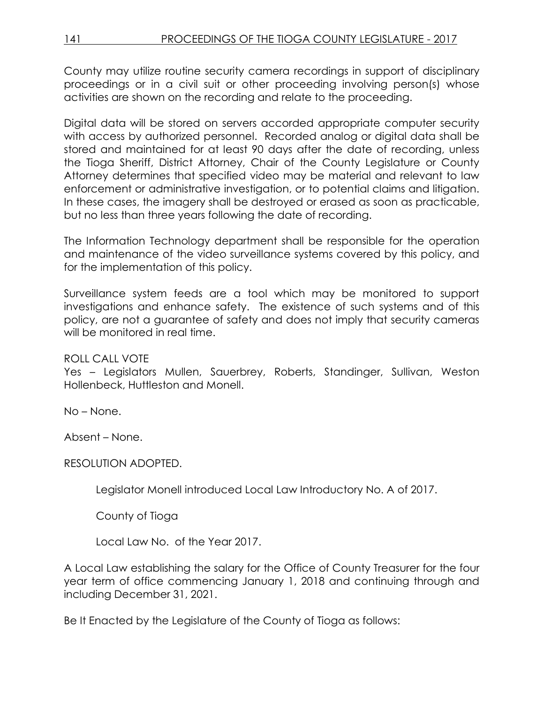County may utilize routine security camera recordings in support of disciplinary proceedings or in a civil suit or other proceeding involving person(s) whose activities are shown on the recording and relate to the proceeding.

Digital data will be stored on servers accorded appropriate computer security with access by authorized personnel. Recorded analog or digital data shall be stored and maintained for at least 90 days after the date of recording, unless the Tioga Sheriff, District Attorney, Chair of the County Legislature or County Attorney determines that specified video may be material and relevant to law enforcement or administrative investigation, or to potential claims and litigation. In these cases, the imagery shall be destroyed or erased as soon as practicable, but no less than three years following the date of recording.

The Information Technology department shall be responsible for the operation and maintenance of the video surveillance systems covered by this policy, and for the implementation of this policy.

Surveillance system feeds are a tool which may be monitored to support investigations and enhance safety. The existence of such systems and of this policy, are not a guarantee of safety and does not imply that security cameras will be monitored in real time.

# ROLL CALL VOTE

Yes – Legislators Mullen, Sauerbrey, Roberts, Standinger, Sullivan, Weston Hollenbeck, Huttleston and Monell.

No – None.

Absent – None.

RESOLUTION ADOPTED.

Legislator Monell introduced Local Law Introductory No. A of 2017.

County of Tioga

Local Law No. of the Year 2017.

A Local Law establishing the salary for the Office of County Treasurer for the four year term of office commencing January 1, 2018 and continuing through and including December 31, 2021.

Be It Enacted by the Legislature of the County of Tioga as follows: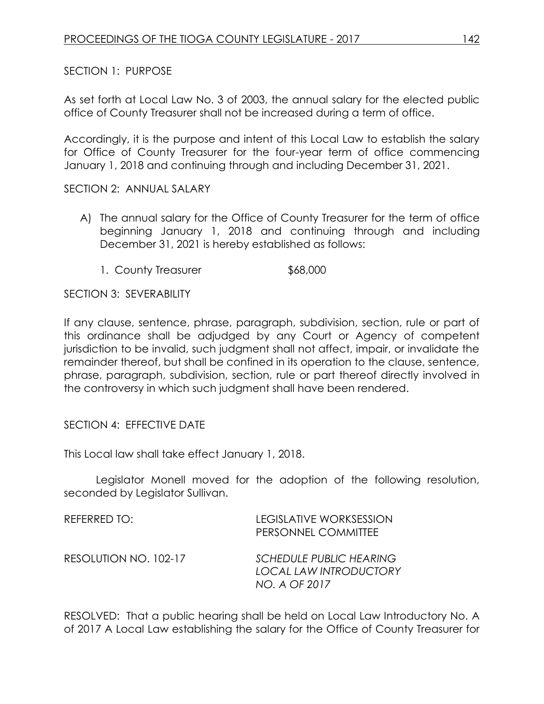SECTION 1: PURPOSE

As set forth at Local Law No. 3 of 2003, the annual salary for the elected public office of County Treasurer shall not be increased during a term of office.

Accordingly, it is the purpose and intent of this Local Law to establish the salary for Office of County Treasurer for the four-year term of office commencing January 1, 2018 and continuing through and including December 31, 2021.

SECTION 2: ANNUAL SALARY

- A) The annual salary for the Office of County Treasurer for the term of office beginning January 1, 2018 and continuing through and including December 31, 2021 is hereby established as follows:
	- 1. County Treasurer \$68,000

SECTION 3: SEVERABILITY

If any clause, sentence, phrase, paragraph, subdivision, section, rule or part of this ordinance shall be adjudged by any Court or Agency of competent jurisdiction to be invalid, such judgment shall not affect, impair, or invalidate the remainder thereof, but shall be confined in its operation to the clause, sentence, phrase, paragraph, subdivision, section, rule or part thereof directly involved in the controversy in which such judgment shall have been rendered.

SECTION 4: EFFECTIVE DATE

This Local law shall take effect January 1, 2018.

Legislator Monell moved for the adoption of the following resolution, seconded by Legislator Sullivan.

| REFERRED TO:          | <b>LEGISLATIVE WORKSESSION</b><br>PERSONNEL COMMITTEE                            |
|-----------------------|----------------------------------------------------------------------------------|
| RESOLUTION NO. 102-17 | <b>SCHEDULE PUBLIC HEARING</b><br><b>LOCAL LAW INTRODUCTORY</b><br>NO. A OF 2017 |

RESOLVED: That a public hearing shall be held on Local Law Introductory No. A of 2017 A Local Law establishing the salary for the Office of County Treasurer for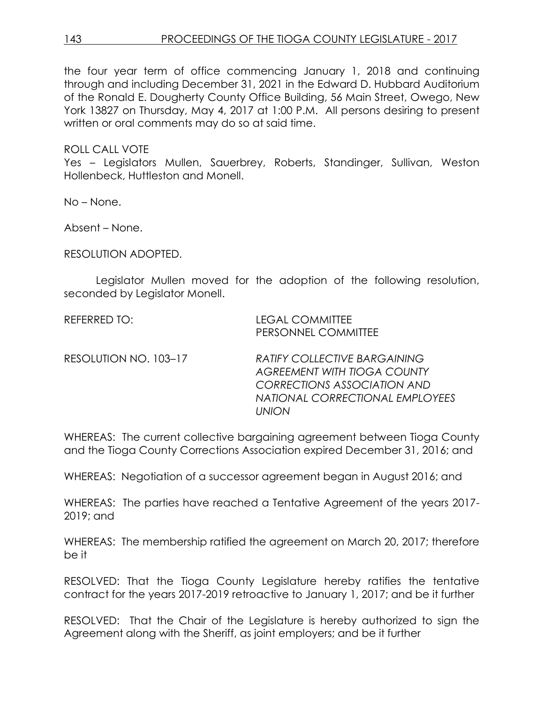the four year term of office commencing January 1, 2018 and continuing through and including December 31, 2021 in the Edward D. Hubbard Auditorium of the Ronald E. Dougherty County Office Building, 56 Main Street, Owego, New York 13827 on Thursday, May 4, 2017 at 1:00 P.M. All persons desiring to present written or oral comments may do so at said time.

### ROLL CALL VOTE

Yes – Legislators Mullen, Sauerbrey, Roberts, Standinger, Sullivan, Weston Hollenbeck, Huttleston and Monell.

No – None.

Absent – None.

RESOLUTION ADOPTED.

Legislator Mullen moved for the adoption of the following resolution, seconded by Legislator Monell.

| REFERRED TO:          | <b>LEGAL COMMITTEE</b><br>PERSONNEL COMMITTEE                                                                                                               |
|-----------------------|-------------------------------------------------------------------------------------------------------------------------------------------------------------|
| RESOLUTION NO. 103-17 | <b>RATIFY COLLECTIVE BARGAINING</b><br><b>AGREEMENT WITH TIOGA COUNTY</b><br><b>CORRECTIONS ASSOCIATION AND</b><br>NATIONAL CORRECTIONAL EMPLOYEES<br>UNION |

WHEREAS: The current collective bargaining agreement between Tioga County and the Tioga County Corrections Association expired December 31, 2016; and

WHEREAS: Negotiation of a successor agreement began in August 2016; and

WHEREAS: The parties have reached a Tentative Agreement of the years 2017- 2019; and

WHEREAS: The membership ratified the agreement on March 20, 2017; therefore be it

RESOLVED: That the Tioga County Legislature hereby ratifies the tentative contract for the years 2017-2019 retroactive to January 1, 2017; and be it further

RESOLVED: That the Chair of the Legislature is hereby authorized to sign the Agreement along with the Sheriff, as joint employers; and be it further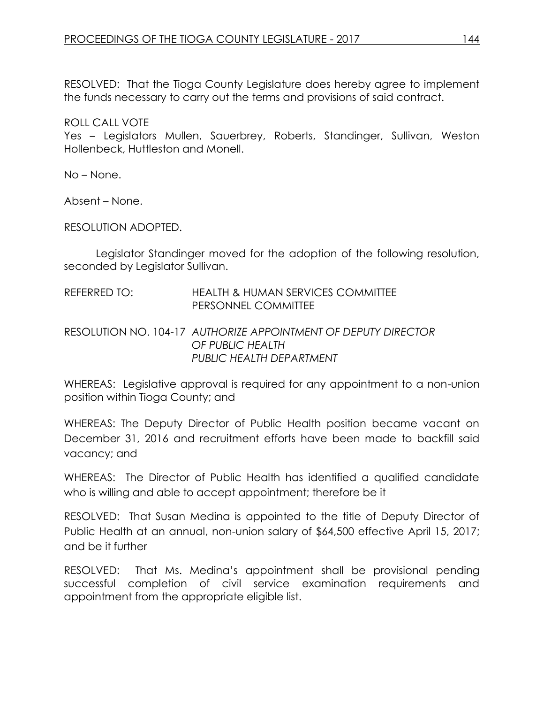RESOLVED: That the Tioga County Legislature does hereby agree to implement the funds necessary to carry out the terms and provisions of said contract.

ROLL CALL VOTE

Yes – Legislators Mullen, Sauerbrey, Roberts, Standinger, Sullivan, Weston Hollenbeck, Huttleston and Monell.

No – None.

Absent – None.

RESOLUTION ADOPTED.

Legislator Standinger moved for the adoption of the following resolution, seconded by Legislator Sullivan.

### REFERRED TO: HEALTH & HUMAN SERVICES COMMITTEE PERSONNEL COMMITTEE

# RESOLUTION NO. 104-17 *AUTHORIZE APPOINTMENT OF DEPUTY DIRECTOR OF PUBLIC HEALTH PUBLIC HEALTH DEPARTMENT*

WHEREAS: Legislative approval is required for any appointment to a non-union position within Tioga County; and

WHEREAS: The Deputy Director of Public Health position became vacant on December 31, 2016 and recruitment efforts have been made to backfill said vacancy; and

WHEREAS: The Director of Public Health has identified a qualified candidate who is willing and able to accept appointment; therefore be it

RESOLVED: That Susan Medina is appointed to the title of Deputy Director of Public Health at an annual, non-union salary of \$64,500 effective April 15, 2017; and be it further

RESOLVED: That Ms. Medina's appointment shall be provisional pending successful completion of civil service examination requirements and appointment from the appropriate eligible list.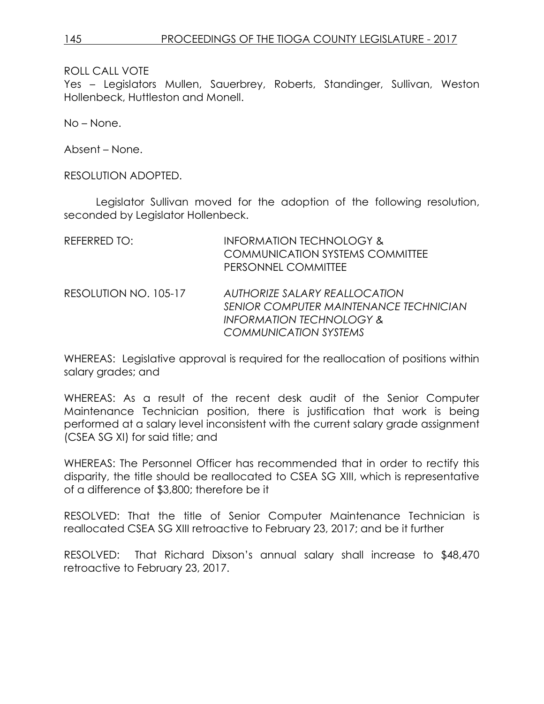ROLL CALL VOTE

Yes – Legislators Mullen, Sauerbrey, Roberts, Standinger, Sullivan, Weston Hollenbeck, Huttleston and Monell.

No – None.

Absent – None.

RESOLUTION ADOPTED.

Legislator Sullivan moved for the adoption of the following resolution, seconded by Legislator Hollenbeck.

| REFERRED TO:          | <b>INFORMATION TECHNOLOGY &amp;</b><br><b>COMMUNICATION SYSTEMS COMMITTEE</b><br>PERSONNEL COMMITTEE                                                  |
|-----------------------|-------------------------------------------------------------------------------------------------------------------------------------------------------|
| RESOLUTION NO. 105-17 | <b>AUTHORIZE SALARY REALLOCATION</b><br><b>SENIOR COMPUTER MAINTENANCE TECHNICIAN</b><br><b>INFORMATION TECHNOLOGY &amp;</b><br>COMMUNICATION SYSTEMS |

WHEREAS: Legislative approval is required for the reallocation of positions within salary grades; and

WHEREAS: As a result of the recent desk audit of the Senior Computer Maintenance Technician position, there is justification that work is being performed at a salary level inconsistent with the current salary grade assignment (CSEA SG XI) for said title; and

WHEREAS: The Personnel Officer has recommended that in order to rectify this disparity, the title should be reallocated to CSEA SG XIII, which is representative of a difference of \$3,800; therefore be it

RESOLVED: That the title of Senior Computer Maintenance Technician is reallocated CSEA SG XIII retroactive to February 23, 2017; and be it further

RESOLVED: That Richard Dixson's annual salary shall increase to \$48,470 retroactive to February 23, 2017.